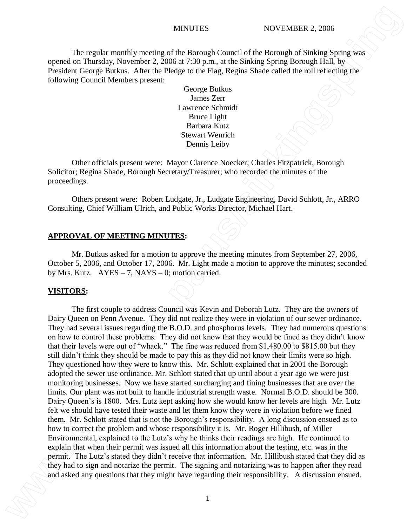The regular monthly meeting of the Borough Council of the Borough of Sinking Spring was opened on Thursday, November 2, 2006 at 7:30 p.m., at the Sinking Spring Borough Hall, by President George Butkus. After the Pledge to the Flag, Regina Shade called the roll reflecting the following Council Members present:

> George Butkus James Zerr Lawrence Schmidt Bruce Light Barbara Kutz Stewart Wenrich Dennis Leiby

Other officials present were: Mayor Clarence Noecker; Charles Fitzpatrick, Borough Solicitor; Regina Shade, Borough Secretary/Treasurer; who recorded the minutes of the proceedings.

Others present were: Robert Ludgate, Jr., Ludgate Engineering, David Schlott, Jr., ARRO Consulting, Chief William Ulrich, and Public Works Director, Michael Hart.

#### **APPROVAL OF MEETING MINUTES:**

Mr. Butkus asked for a motion to approve the meeting minutes from September 27, 2006, October 5, 2006, and October 17, 2006. Mr. Light made a motion to approve the minutes; seconded by Mrs. Kutz.  $AYES - 7$ , NAYS – 0; motion carried.

#### **VISITORS:**

The first couple to address Council was Kevin and Deborah Lutz. They are the owners of Dairy Queen on Penn Avenue. They did not realize they were in violation of our sewer ordinance. They had several issues regarding the B.O.D. and phosphorus levels. They had numerous questions on how to control these problems. They did not know that they would be fined as they didn't know that their levels were out of "whack." The fine was reduced from \$1,480.00 to \$815.00 but they still didn't think they should be made to pay this as they did not know their limits were so high. They questioned how they were to know this. Mr. Schlott explained that in 2001 the Borough adopted the sewer use ordinance. Mr. Schlott stated that up until about a year ago we were just monitoring businesses. Now we have started surcharging and fining businesses that are over the limits. Our plant was not built to handle industrial strength waste. Normal B.O.D. should be 300. Dairy Queen's is 1800. Mrs. Lutz kept asking how she would know her levels are high. Mr. Lutz felt we should have tested their waste and let them know they were in violation before we fined them. Mr. Schlott stated that is not the Borough's responsibility. A long discussion ensued as to how to correct the problem and whose responsibility it is. Mr. Roger Hillibush, of Miller Environmental, explained to the Lutz's why he thinks their readings are high. He continued to explain that when their permit was issued all this information about the testing, etc. was in the permit. The Lutz's stated they didn't receive that information. Mr. Hillibush stated that they did as they had to sign and notarize the permit. The signing and notarizing was to happen after they read and asked any questions that they might have regarding their responsibility. A discussion ensued. **WHITTES**<br>
The regular monthly smorting of the Bosongh Caused of the Bosongh of Social correct of The Bosongh Actual to the Social Correct and the Social Correct and the Social Correct and the Correct and the Social Corre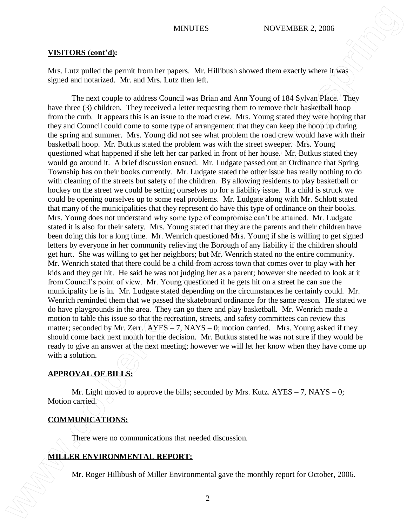#### **VISITORS (cont'd):**

Mrs. Lutz pulled the permit from her papers. Mr. Hillibush showed them exactly where it was signed and notarized. Mr. and Mrs. Lutz then left.

The next couple to address Council was Brian and Ann Young of 184 Sylvan Place. They have three (3) children. They received a letter requesting them to remove their basketball hoop from the curb. It appears this is an issue to the road crew. Mrs. Young stated they were hoping that they and Council could come to some type of arrangement that they can keep the hoop up during the spring and summer. Mrs. Young did not see what problem the road crew would have with their basketball hoop. Mr. Butkus stated the problem was with the street sweeper. Mrs. Young questioned what happened if she left her car parked in front of her house. Mr. Butkus stated they would go around it. A brief discussion ensued. Mr. Ludgate passed out an Ordinance that Spring Township has on their books currently. Mr. Ludgate stated the other issue has really nothing to do with cleaning of the streets but safety of the children. By allowing residents to play basketball or hockey on the street we could be setting ourselves up for a liability issue. If a child is struck we could be opening ourselves up to some real problems. Mr. Ludgate along with Mr. Schlott stated that many of the municipalities that they represent do have this type of ordinance on their books. Mrs. Young does not understand why some type of compromise can't be attained. Mr. Ludgate stated it is also for their safety. Mrs. Young stated that they are the parents and their children have been doing this for a long time. Mr. Wenrich questioned Mrs. Young if she is willing to get signed letters by everyone in her community relieving the Borough of any liability if the children should get hurt. She was willing to get her neighbors; but Mr. Wenrich stated no the entire community. Mr. Wenrich stated that there could be a child from across town that comes over to play with her kids and they get hit. He said he was not judging her as a parent; however she needed to look at it from Council's point of view. Mr. Young questioned if he gets hit on a street he can sue the municipality he is in. Mr. Ludgate stated depending on the circumstances he certainly could. Mr. Wenrich reminded them that we passed the skateboard ordinance for the same reason. He stated we do have playgrounds in the area. They can go there and play basketball. Mr. Wenrich made a motion to table this issue so that the recreation, streets, and safety committees can review this matter; seconded by Mr. Zerr.  $AYES - 7$ , NAYS – 0; motion carried. Mrs. Young asked if they should come back next month for the decision. Mr. Butkus stated he was not sure if they would be ready to give an answer at the next meeting; however we will let her know when they have come up with a solution. Mr. Roger Hillibush of Miller Environmental gave the monthly report for October, 2006. **www.co.berks.pa.us/sinkingspring**

### **APPROVAL OF BILLS:**

Mr. Light moved to approve the bills; seconded by Mrs. Kutz.  $AYES - 7$ ,  $NAYS - 0$ ; Motion carried.

#### **COMMUNICATIONS:**

There were no communications that needed discussion.

### **MILLER ENVIRONMENTAL REPORT:**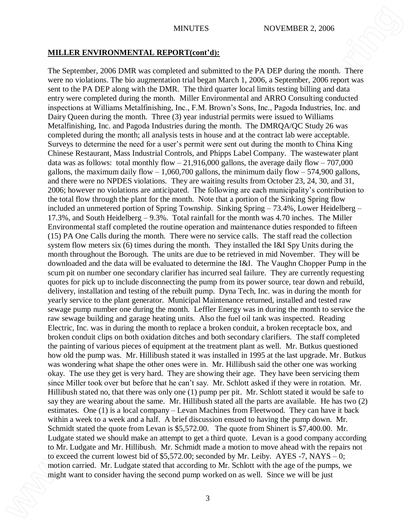#### **MILLER ENVIRONMENTAL REPORT(cont'd):**

The September, 2006 DMR was completed and submitted to the PA DEP during the month. There were no violations. The bio augmentation trial began March 1, 2006, a September, 2006 report was sent to the PA DEP along with the DMR. The third quarter local limits testing billing and data entry were completed during the month. Miller Environmental and ARRO Consulting conducted inspections at Williams Metalfinishing, Inc., F.M. Brown's Sons, Inc., Pagoda Industries, Inc. and Dairy Queen during the month. Three (3) year industrial permits were issued to Williams Metalfinishing, Inc. and Pagoda Industries during the month. The DMRQA/QC Study 26 was completed during the month; all analysis tests in house and at the contract lab were acceptable. Surveys to determine the need for a user's permit were sent out during the month to China King Chinese Restaurant, Mass Industrial Controls, and Phipps Label Company. The wastewater plant data was as follows: total monthly flow  $-21,916,000$  gallons, the average daily flow  $-707,000$ gallons, the maximum daily flow  $-1,060,700$  gallons, the minimum daily flow  $-574,900$  gallons, and there were no NPDES violations. They are waiting results from October 23, 24, 30, and 31, 2006; however no violations are anticipated. The following are each municipality's contribution to the total flow through the plant for the month. Note that a portion of the Sinking Spring flow included an unmetered portion of Spring Township. Sinking Spring – 73.4%, Lower Heidelberg – 17.3%, and South Heidelberg – 9.3%. Total rainfall for the month was 4.70 inches. The Miller Environmental staff completed the routine operation and maintenance duties responded to fifteen (15) PA One Calls during the month. There were no service calls. The staff read the collection system flow meters six (6) times during the month. They installed the I&I Spy Units during the month throughout the Borough. The units are due to be retrieved in mid November. They will be downloaded and the data will be evaluated to determine the I&I. The Vaughn Chopper Pump in the scum pit on number one secondary clarifier has incurred seal failure. They are currently requesting quotes for pick up to include disconnecting the pump from its power source, tear down and rebuild, delivery, installation and testing of the rebuilt pump. Dyna Tech, Inc. was in during the month for yearly service to the plant generator. Municipal Maintenance returned, installed and tested raw sewage pump number one during the month. Leffler Energy was in during the month to service the raw sewage building and garage heating units. Also the fuel oil tank was inspected. Reading Electric, Inc. was in during the month to replace a broken conduit, a broken receptacle box, and broken conduit clips on both oxidation ditches and both secondary clarifiers. The staff completed the painting of various pieces of equipment at the treatment plant as well. Mr. Butkus questioned how old the pump was. Mr. Hillibush stated it was installed in 1995 at the last upgrade. Mr. Butkus was wondering what shape the other ones were in. Mr. Hillibush said the other one was working okay. The use they get is very hard. They are showing their age. They have been servicing them since Miller took over but before that he can't say. Mr. Schlott asked if they were in rotation. Mr. Hillibush stated no, that there was only one (1) pump per pit. Mr. Schlott stated it would be safe to say they are wearing about the same. Mr. Hillibush stated all the parts are available. He has two (2) estimates. One (1) is a local company – Levan Machines from Fleetwood. They can have it back within a week to a week and a half. A brief discussion ensued to having the pump down. Mr. Schmidt stated the quote from Levan is \$5,572.00. The quote from Shinert is \$7,400.00. Mr. Ludgate stated we should make an attempt to get a third quote. Levan is a good company according to Mr. Ludgate and Mr. Hillibush. Mr. Schmidt made a motion to move ahead with the repairs not to exceed the current lowest bid of  $$5,572.00$ ; seconded by Mr. Leiby. AYES -7, NAYS – 0; motion carried. Mr. Ludgate stated that according to Mr. Schlott with the age of the pumps, we **MIH.LER ENVIRONNERTAL ARFOORTIGENTS:**<br>
The Septender, 2006 UMR was computed and substanted to the YA DEP denius the second Parts were associated to consider the second pump worked on as well. The second properties having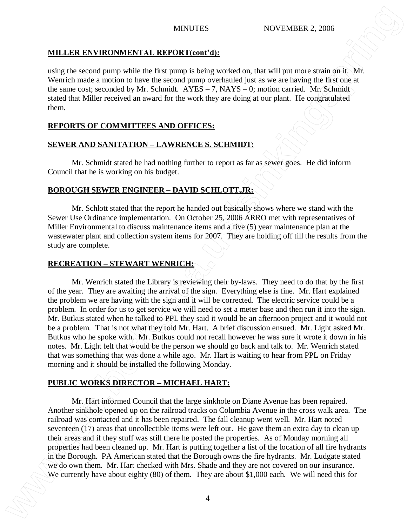# **MILLER ENVIRONMENTAL REPORT(cont'd):**

using the second pump while the first pump is being worked on, that will put more strain on it. Mr. Wenrich made a motion to have the second pump overhauled just as we are having the first one at the same cost; seconded by Mr. Schmidt. AYES – 7, NAYS – 0; motion carried. Mr. Schmidt stated that Miller received an award for the work they are doing at our plant. He congratulated them.

# **REPORTS OF COMMITTEES AND OFFICES:**

# **SEWER AND SANITATION – LAWRENCE S. SCHMIDT:**

Mr. Schmidt stated he had nothing further to report as far as sewer goes. He did inform Council that he is working on his budget.

# **BOROUGH SEWER ENGINEER – DAVID SCHLOTT,JR:**

Mr. Schlott stated that the report he handed out basically shows where we stand with the Sewer Use Ordinance implementation. On October 25, 2006 ARRO met with representatives of Miller Environmental to discuss maintenance items and a five (5) year maintenance plan at the wastewater plant and collection system items for 2007. They are holding off till the results from the study are complete.

## **RECREATION – STEWART WENRICH:**

Mr. Wenrich stated the Library is reviewing their by-laws. They need to do that by the first of the year. They are awaiting the arrival of the sign. Everything else is fine. Mr. Hart explained the problem we are having with the sign and it will be corrected. The electric service could be a problem. In order for us to get service we will need to set a meter base and then run it into the sign. Mr. Butkus stated when he talked to PPL they said it would be an afternoon project and it would not be a problem. That is not what they told Mr. Hart. A brief discussion ensued. Mr. Light asked Mr. Butkus who he spoke with. Mr. Butkus could not recall however he was sure it wrote it down in his notes. Mr. Light felt that would be the person we should go back and talk to. Mr. Wenrich stated that was something that was done a while ago. Mr. Hart is waiting to hear from PPL on Friday morning and it should be installed the following Monday. MILLER ENVIRONMENTAL REPORTION 15.<br>
We can get a second pump while the link pump is being would on, the will got now extend on it. Moreover them. The mean on the second to the mean on the second to the mean on the second t

# **PUBLIC WORKS DIRECTOR – MICHAEL HART:**

Mr. Hart informed Council that the large sinkhole on Diane Avenue has been repaired. Another sinkhole opened up on the railroad tracks on Columbia Avenue in the cross walk area. The railroad was contacted and it has been repaired. The fall cleanup went well. Mr. Hart noted seventeen (17) areas that uncollectible items were left out. He gave them an extra day to clean up their areas and if they stuff was still there he posted the properties. As of Monday morning all properties had been cleaned up. Mr. Hart is putting together a list of the location of all fire hydrants in the Borough. PA American stated that the Borough owns the fire hydrants. Mr. Ludgate stated we do own them. Mr. Hart checked with Mrs. Shade and they are not covered on our insurance.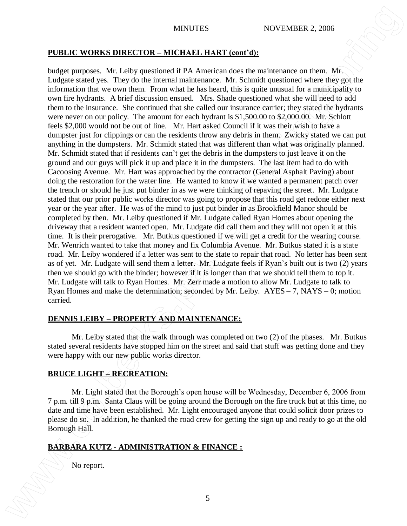# **PUBLIC WORKS DIRECTOR – MICHAEL HART (cont'd):**

budget purposes. Mr. Leiby questioned if PA American does the maintenance on them. Mr. Ludgate stated yes. They do the internal maintenance. Mr. Schmidt questioned where they got the information that we own them. From what he has heard, this is quite unusual for a municipality to own fire hydrants. A brief discussion ensued. Mrs. Shade questioned what she will need to add them to the insurance. She continued that she called our insurance carrier; they stated the hydrants were never on our policy. The amount for each hydrant is \$1,500.00 to \$2,000.00. Mr. Schlott feels \$2,000 would not be out of line. Mr. Hart asked Council if it was their wish to have a dumpster just for clippings or can the residents throw any debris in them. Zwicky stated we can put anything in the dumpsters. Mr. Schmidt stated that was different than what was originally planned. Mr. Schmidt stated that if residents can't get the debris in the dumpsters to just leave it on the ground and our guys will pick it up and place it in the dumpsters. The last item had to do with Cacoosing Avenue. Mr. Hart was approached by the contractor (General Asphalt Paving) about doing the restoration for the water line. He wanted to know if we wanted a permanent patch over the trench or should he just put binder in as we were thinking of repaving the street. Mr. Ludgate stated that our prior public works director was going to propose that this road get redone either next year or the year after. He was of the mind to just put binder in as Brookfield Manor should be completed by then. Mr. Leiby questioned if Mr. Ludgate called Ryan Homes about opening the driveway that a resident wanted open. Mr. Ludgate did call them and they will not open it at this time. It is their prerogative. Mr. Butkus questioned if we will get a credit for the wearing course. Mr. Wenrich wanted to take that money and fix Columbia Avenue. Mr. Butkus stated it is a state road. Mr. Leiby wondered if a letter was sent to the state to repair that road. No letter has been sent as of yet. Mr. Ludgate will send them a letter. Mr. Ludgate feels if Ryan's built out is two (2) years then we should go with the binder; however if it is longer than that we should tell them to top it. Mr. Ludgate will talk to Ryan Homes. Mr. Zerr made a motion to allow Mr. Ludgate to talk to Ryan Homes and make the determination; seconded by Mr. Leiby. AYES – 7, NAYS – 0; motion carried. **NONTERS INTERTIVES**<br> **NOVEMBER 2006**<br> **NOVEMBER 2006**<br> **NOVEMBER 2006**<br> **NOVEMBER 2006**<br> **No report. As Ladisty guestioned if**  $\mathbf{H}A$  **Anarchive to the ministernic on them. Moreover, the lowest<br>
Longitude and the System** 

# **DENNIS LEIBY – PROPERTY AND MAINTENANCE:**

Mr. Leiby stated that the walk through was completed on two (2) of the phases. Mr. Butkus stated several residents have stopped him on the street and said that stuff was getting done and they were happy with our new public works director.

# **BRUCE LIGHT – RECREATION:**

Mr. Light stated that the Borough's open house will be Wednesday, December 6, 2006 from 7 p.m. till 9 p.m. Santa Claus will be going around the Borough on the fire truck but at this time, no date and time have been established. Mr. Light encouraged anyone that could solicit door prizes to please do so. In addition, he thanked the road crew for getting the sign up and ready to go at the old Borough Hall.

# **BARBARA KUTZ - ADMINISTRATION & FINANCE :**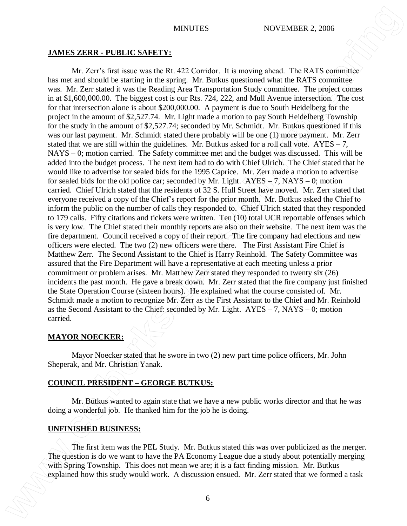#### **JAMES ZERR - PUBLIC SAFETY:**

Mr. Zerr's first issue was the Rt. 422 Corridor. It is moving ahead. The RATS committee has met and should be starting in the spring. Mr. Butkus questioned what the RATS committee was. Mr. Zerr stated it was the Reading Area Transportation Study committee. The project comes in at \$1,600,000.00. The biggest cost is our Rts. 724, 222, and Mull Avenue intersection. The cost for that intersection alone is about \$200,000.00. A payment is due to South Heidelberg for the project in the amount of \$2,527.74. Mr. Light made a motion to pay South Heidelberg Township for the study in the amount of \$2,527.74; seconded by Mr. Schmidt. Mr. Butkus questioned if this was our last payment. Mr. Schmidt stated there probably will be one (1) more payment. Mr. Zerr stated that we are still within the guidelines. Mr. Butkus asked for a roll call vote.  $AYES - 7$ , NAYS – 0; motion carried. The Safety committee met and the budget was discussed. This will be added into the budget process. The next item had to do with Chief Ulrich. The Chief stated that he would like to advertise for sealed bids for the 1995 Caprice. Mr. Zerr made a motion to advertise for sealed bids for the old police car; seconded by Mr. Light.  $AYES = 7$ , NAYS – 0; motion carried. Chief Ulrich stated that the residents of 32 S. Hull Street have moved. Mr. Zerr stated that everyone received a copy of the Chief's report for the prior month. Mr. Butkus asked the Chief to inform the public on the number of calls they responded to. Chief Ulrich stated that they responded to 179 calls. Fifty citations and tickets were written. Ten (10) total UCR reportable offenses which is very low. The Chief stated their monthly reports are also on their website. The next item was the fire department. Council received a copy of their report. The fire company had elections and new officers were elected. The two (2) new officers were there. The First Assistant Fire Chief is Matthew Zerr. The Second Assistant to the Chief is Harry Reinhold. The Safety Committee was assured that the Fire Department will have a representative at each meeting unless a prior commitment or problem arises. Mr. Matthew Zerr stated they responded to twenty six (26) incidents the past month. He gave a break down. Mr. Zerr stated that the fire company just finished the State Operation Course (sixteen hours). He explained what the course consisted of. Mr. Schmidt made a motion to recognize Mr. Zerr as the First Assistant to the Chief and Mr. Reinhold as the Second Assistant to the Chief: seconded by Mr. Light. AYES – 7, NAYS – 0; motion carried. **EXPLAINES STERR - PULTILIC SAFFLYY.**<br>
NIMETTES<br>
IMMEDIATORIES 2006<br>
IMMEDIATORIES 2006<br>
IMMEDIATORIES 2006<br>
IMMEDIATORIES 2006<br>
IMMEDIATORIES 2006<br>
IMMEDIATORIES 2007 (1993) A discussion ensued. We formed a task UATA cons

## **MAYOR NOECKER:**

Mayor Noecker stated that he swore in two (2) new part time police officers, Mr. John Sheperak, and Mr. Christian Yanak.

## **COUNCIL PRESIDENT – GEORGE BUTKUS:**

Mr. Butkus wanted to again state that we have a new public works director and that he was doing a wonderful job. He thanked him for the job he is doing.

## **UNFINISHED BUSINESS:**

The first item was the PEL Study. Mr. Butkus stated this was over publicized as the merger. The question is do we want to have the PA Economy League due a study about potentially merging with Spring Township. This does not mean we are; it is a fact finding mission. Mr. Butkus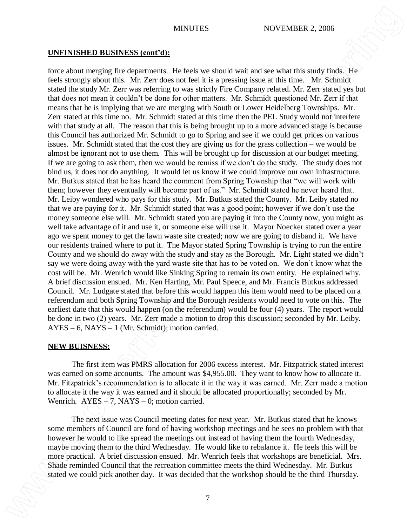#### **UNFINISHED BUSINESS (cont'd):**

force about merging fire departments. He feels we should wait and see what this study finds. He feels strongly about this. Mr. Zerr does not feel it is a pressing issue at this time. Mr. Schmidt stated the study Mr. Zerr was referring to was strictly Fire Company related. Mr. Zerr stated yes but that does not mean it couldn't be done for other matters. Mr. Schmidt questioned Mr. Zerr if that means that he is implying that we are merging with South or Lower Heidelberg Townships. Mr. Zerr stated at this time no. Mr. Schmidt stated at this time then the PEL Study would not interfere with that study at all. The reason that this is being brought up to a more advanced stage is because this Council has authorized Mr. Schmidt to go to Spring and see if we could get prices on various issues. Mr. Schmidt stated that the cost they are giving us for the grass collection – we would be almost be ignorant not to use them. This will be brought up for discussion at our budget meeting. If we are going to ask them, then we would be remiss if we don't do the study. The study does not bind us, it does not do anything. It would let us know if we could improve our own infrastructure. Mr. Butkus stated that he has heard the comment from Spring Township that "we will work with them; however they eventually will become part of us." Mr. Schmidt stated he never heard that. Mr. Leiby wondered who pays for this study. Mr. Butkus stated the County. Mr. Leiby stated no that we are paying for it. Mr. Schmidt stated that was a good point; however if we don't use the money someone else will. Mr. Schmidt stated you are paying it into the County now, you might as well take advantage of it and use it, or someone else will use it. Mayor Noecker stated over a year ago we spent money to get the lawn waste site created; now we are going to disband it. We have our residents trained where to put it. The Mayor stated Spring Township is trying to run the entire County and we should do away with the study and stay as the Borough. Mr. Light stated we didn't say we were doing away with the yard waste site that has to be voted on. We don't know what the cost will be. Mr. Wenrich would like Sinking Spring to remain its own entity. He explained why. A brief discussion ensued. Mr. Ken Harting, Mr. Paul Speece, and Mr. Francis Butkus addressed Council. Mr. Ludgate stated that before this would happen this item would need to be placed on a referendum and both Spring Township and the Borough residents would need to vote on this. The earliest date that this would happen (on the referendum) would be four (4) years. The report would be done in two (2) years. Mr. Zerr made a motion to drop this discussion; seconded by Mr. Leiby.  $AYES - 6$ ,  $NAYS - 1$  (Mr. Schmidt); motion carried. **STATISTEE DRIVENES (COMPRETTS** SCOYPANTER 2 (2006) Exception 2 (1008) and the third Thursday (1008) and the state of the third Thursday. It was decided to the workshop should be the third Thursday. The mean of the state o

#### **NEW BUISNESS:**

The first item was PMRS allocation for 2006 excess interest. Mr. Fitzpatrick stated interest was earned on some accounts. The amount was \$4,955.00. They want to know how to allocate it. Mr. Fitzpatrick's recommendation is to allocate it in the way it was earned. Mr. Zerr made a motion to allocate it the way it was earned and it should be allocated proportionally; seconded by Mr. Wenrich. AYES  $-7$ , NAYS – 0; motion carried.

The next issue was Council meeting dates for next year. Mr. Butkus stated that he knows some members of Council are fond of having workshop meetings and he sees no problem with that however he would to like spread the meetings out instead of having them the fourth Wednesday, maybe moving them to the third Wednesday. He would like to rebalance it. He feels this will be more practical. A brief discussion ensued. Mr. Wenrich feels that workshops are beneficial. Mrs. Shade reminded Council that the recreation committee meets the third Wednesday. Mr. Butkus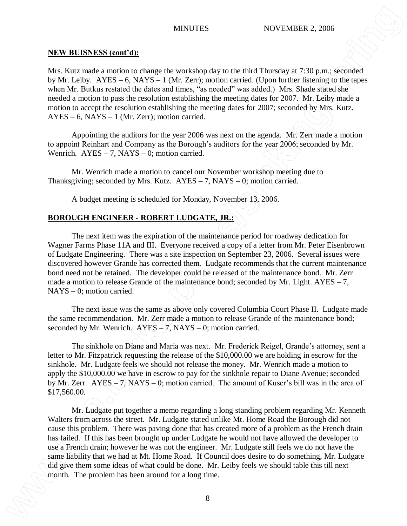#### **NEW BUISNESS (cont'd):**

Mrs. Kutz made a motion to change the workshop day to the third Thursday at 7:30 p.m.; seconded by Mr. Leiby. AYES – 6, NAYS – 1 (Mr. Zerr); motion carried. (Upon further listening to the tapes when Mr. Butkus restated the dates and times, "as needed" was added.) Mrs. Shade stated she needed a motion to pass the resolution establishing the meeting dates for 2007. Mr. Leiby made a motion to accept the resolution establishing the meeting dates for 2007; seconded by Mrs. Kutz. AYES – 6, NAYS – 1 (Mr. Zerr); motion carried.

Appointing the auditors for the year 2006 was next on the agenda. Mr. Zerr made a motion to appoint Reinhart and Company as the Borough's auditors for the year 2006; seconded by Mr. Wenrich.  $AYES - 7$ ,  $NAYS - 0$ ; motion carried.

Mr. Wenrich made a motion to cancel our November workshop meeting due to Thanksgiving; seconded by Mrs. Kutz.  $AYES - 7$ , NAYS – 0; motion carried.

A budget meeting is scheduled for Monday, November 13, 2006.

#### **BOROUGH ENGINEER - ROBERT LUDGATE, JR.:**

The next item was the expiration of the maintenance period for roadway dedication for Wagner Farms Phase 11A and III. Everyone received a copy of a letter from Mr. Peter Eisenbrown of Ludgate Engineering. There was a site inspection on September 23, 2006. Several issues were discovered however Grande has corrected them. Ludgate recommends that the current maintenance bond need not be retained. The developer could be released of the maintenance bond. Mr. Zerr made a motion to release Grande of the maintenance bond; seconded by Mr. Light.  $AYES - 7$ , NAYS – 0; motion carried.

The next issue was the same as above only covered Columbia Court Phase II. Ludgate made the same recommendation. Mr. Zerr made a motion to release Grande of the maintenance bond; seconded by Mr. Wenrich.  $\angle$ AYES  $\angle$ 7, NAYS – 0; motion carried.

The sinkhole on Diane and Maria was next. Mr. Frederick Reigel, Grande's attorney, sent a letter to Mr. Fitzpatrick requesting the release of the \$10,000.00 we are holding in escrow for the sinkhole. Mr. Ludgate feels we should not release the money. Mr. Wenrich made a motion to apply the \$10,000.00 we have in escrow to pay for the sinkhole repair to Diane Avenue; seconded by Mr. Zerr.  $\angle AYES - 7$ , NAYS – 0; motion carried. The amount of Kuser's bill was in the area of \$17,560.00.

Mr. Ludgate put together a memo regarding a long standing problem regarding Mr. Kenneth Walters from across the street. Mr. Ludgate stated unlike Mt. Home Road the Borough did not cause this problem. There was paving done that has created more of a problem as the French drain has failed. If this has been brought up under Ludgate he would not have allowed the developer to use a French drain; however he was not the engineer. Mr. Ludgate still feels we do not have the same liability that we had at Mt. Home Road. If Council does desire to do something, Mr. Ludgate did give them some ideas of what could be done. Mr. Leiby feels we should table this till next **MINUEST SCONGIFY CONDUCTES**<br>
NET A LONGIFY A LONGIFY AND THE PRODUCT AND THE PROPERTIES AND A LONGIFY AND A LONGIFY AND HAS BEEN AROUND THE PROPERTIES AND A LONGIFICATION OF A LONGIFICATION OF A LONGIFICATION OF A LONGIF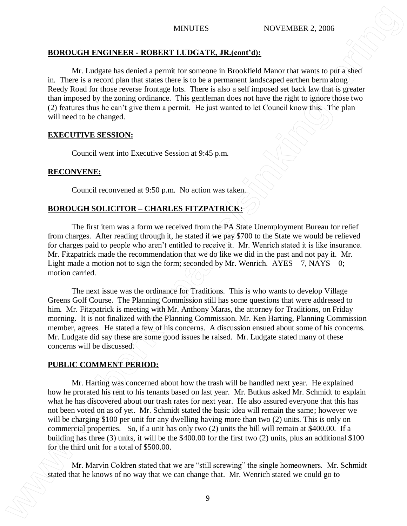# **BOROUGH ENGINEER - ROBERT LUDGATE, JR.(cont'd):**

Mr. Ludgate has denied a permit for someone in Brookfield Manor that wants to put a shed in. There is a record plan that states there is to be a permanent landscaped earthen berm along Reedy Road for those reverse frontage lots. There is also a self imposed set back law that is greater than imposed by the zoning ordinance. This gentleman does not have the right to ignore those two (2) features thus he can't give them a permit. He just wanted to let Council know this. The plan will need to be changed.

## **EXECUTIVE SESSION:**

Council went into Executive Session at 9:45 p.m.

# **RECONVENE:**

Council reconvened at 9:50 p.m. No action was taken.

# **BOROUGH SOLICITOR – CHARLES FITZPATRICK:**

The first item was a form we received from the PA State Unemployment Bureau for relief from charges. After reading through it, he stated if we pay \$700 to the State we would be relieved for charges paid to people who aren't entitled to receive it. Mr. Wenrich stated it is like insurance. Mr. Fitzpatrick made the recommendation that we do like we did in the past and not pay it. Mr. Light made a motion not to sign the form; seconded by Mr. Wenrich.  $AYES - 7$ ,  $NAYS - 0$ ; motion carried.

The next issue was the ordinance for Traditions. This is who wants to develop Village Greens Golf Course. The Planning Commission still has some questions that were addressed to him. Mr. Fitzpatrick is meeting with Mr. Anthony Maras, the attorney for Traditions, on Friday morning. It is not finalized with the Planning Commission. Mr. Ken Harting, Planning Commission member, agrees. He stated a few of his concerns. A discussion ensued about some of his concerns. Mr. Ludgate did say these are some good issues he raised. Mr. Ludgate stated many of these concerns will be discussed.

# **PUBLIC COMMENT PERIOD:**

Mr. Harting was concerned about how the trash will be handled next year. He explained how he prorated his rent to his tenants based on last year. Mr. Butkus asked Mr. Schmidt to explain what he has discovered about our trash rates for next year. He also assured everyone that this has not been voted on as of yet. Mr. Schmidt stated the basic idea will remain the same; however we will be charging \$100 per unit for any dwelling having more than two (2) units. This is only on commercial properties. So, if a unit has only two (2) units the bill will remain at \$400.00. If a building has three (3) units, it will be the \$400.00 for the first two (2) units, plus an additional \$100 for the third unit for a total of \$500.00. **STATE ANTIFICATE CONSTRUME ANTIFICATE ANTIFICATE ANTIFICATE ANTIFICATE CONSTRUME ANTIFICATE CONSTRUME ANTIFICATE CONSTRUME ANTIFICATE CONSTRUME ANTIFICATE CONSTRUME ANTIFICATE CONSTRUME ANTIFICATE CONSTRUME ANTIFICATE CO** 

Mr. Marvin Coldren stated that we are "still screwing" the single homeowners. Mr. Schmidt